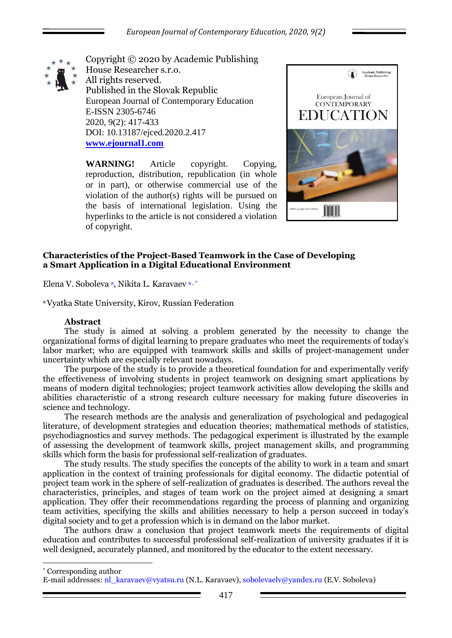

Copyright © 2020 by Academic Publishing House Researcher s.r.o. All rights reserved. Published in the Slovak Republic European Journal of Contemporary Education E-ISSN 2305-6746 2020, 9(2): 417-433 DOI: 10.13187/ejced.2020.2.417 **[www.ejournal1.com](http://www.ejournal1.com/)**

**WARNING!** Article copyright. Copying, reproduction, distribution, republication (in whole or in part), or otherwise commercial use of the violation of the author(s) rights will be pursued on the basis of international legislation. Using the hyperlinks to the article is not considered a violation of copyright.



# **Characteristics of the Project-Based Teamwork in the Case of Developing a Smart Application in a Digital Educational Environment**

Elena V. Soboleva <sup>a</sup>, Nikita L. Karavaev<sup>a, \*</sup>

<sup>a</sup>Vyatka State University, Kirov, Russian Federation

## **Abstract**

The study is aimed at solving a problem generated by the necessity to change the organizational forms of digital learning to prepare graduates who meet the requirements of today's labor market; who are equipped with teamwork skills and skills of project-management under uncertainty which are especially relevant nowadays.

The purpose of the study is to provide a theoretical foundation for and experimentally verify the effectiveness of involving students in project teamwork on designing smart applications by means of modern digital technologies; project teamwork activities allow developing the skills and abilities characteristic of a strong research culture necessary for making future discoveries in science and technology.

The research methods are the analysis and generalization of psychological and pedagogical literature, of development strategies and education theories; mathematical methods of statistics, psychodiagnostics and survey methods. The pedagogical experiment is illustrated by the example of assessing the development of teamwork skills, project management skills, and programming skills which form the basis for professional self-realization of graduates.

The study results. The study specifies the concepts of the ability to work in a team and smart application in the context of training professionals for digital economy. The didactic potential of project team work in the sphere of self-realization of graduates is described. The authors reveal the characteristics, principles, and stages of team work on the project aimed at designing a smart application. They offer their recommendations regarding the process of planning and organizing team activities, specifying the skills and abilities necessary to help a person succeed in today's digital society and to get a profession which is in demand on the labor market.

The authors draw a conclusion that project teamwork meets the requirements of digital education and contributes to successful professional self-realization of university graduates if it is well designed, accurately planned, and monitored by the educator to the extent necessary.

1 \* Corresponding author

E-mail addresses: nl\_karavaev@vyatsu.ru (N.L. Karavaev), sobolevaelv@yandex.ru (E.V. Soboleva)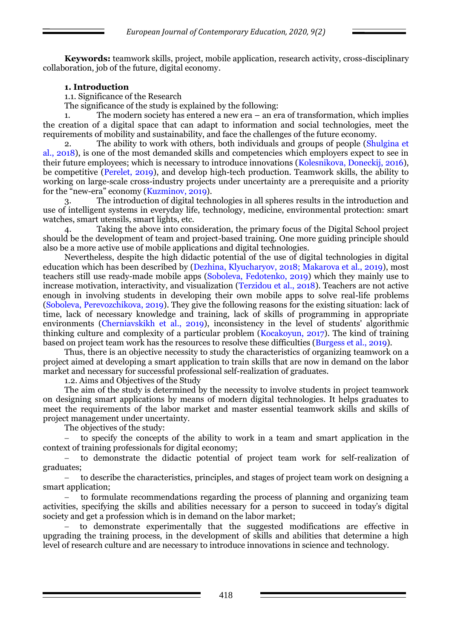**Keywords:** teamwork skills, project, mobile application, research activity, cross-disciplinary collaboration, job of the future, digital economy.

# **1. Introduction**

1.1. Significance of the Research

The significance of the study is explained by the following:

1. The modern society has entered a new era – an era of transformation, which implies the creation of a digital space that can adapt to information and social technologies, meet the requirements of mobility and sustainability, and face the challenges of the future economy.

The ability to work with others, both individuals and groups of people (Shulgina et al., 2018), is one of the most demanded skills and competencies which employers expect to see in their future employees; which is necessary to introduce innovations (Kolesnikova, Doneckij, 2016), be competitive (Perelet, 2019), and develop high-tech production. Teamwork skills, the ability to working on large-scale cross-industry projects under uncertainty are a prerequisite and a priority for the "new-era" economy (Kuzminov, 2019).

3. The introduction of digital technologies in all spheres results in the introduction and use of intelligent systems in everyday life, technology, medicine, environmental protection: smart watches, smart utensils, smart lights, etc.

Taking the above into consideration, the primary focus of the Digital School project should be the development of team and project-based training. One more guiding principle should also be a more active use of mobile applications and digital technologies.

Nevertheless, despite the high didactic potential of the use of digital technologies in digital education which has been described by (Dezhina, Klyucharyov, 2018; Makarova et al., 2019), most teachers still use ready-made mobile apps (Soboleva, Fedotenko, 2019) which they mainly use to increase motivation, interactivity, and visualization (Terzidou et al., 2018). Teachers are not active enough in involving students in developing their own mobile apps to solve real-life problems (Soboleva, Perevozchikova, 2019). They give the following reasons for the existing situation: lack of time, lack of necessary knowledge and training, lack of skills of programming in appropriate environments (Cherniavskikh et al., 2019), inconsistency in the level of students' algorithmic thinking culture and complexity of a particular problem (Kocakoyun, 2017). The kind of training based on project team work has the resources to resolve these difficulties (Burgess et al., 2019).

Thus, there is an objective necessity to study the characteristics of organizing teamwork on a project aimed at developing a smart application to train skills that are now in demand on the labor market and necessary for successful professional self-realization of graduates.

1.2. Aims and Objectives of the Study

The aim of the study is determined by the necessity to involve students in project teamwork on designing smart applications by means of modern digital technologies. It helps graduates to meet the requirements of the labor market and master essential teamwork skills and skills of project management under uncertainty.

The objectives of the study:

 to specify the concepts of the ability to work in a team and smart application in the context of training professionals for digital economy;

 to demonstrate the didactic potential of project team work for self-realization of graduates;

 to describe the characteristics, principles, and stages of project team work on designing a smart application;

 to formulate recommendations regarding the process of planning and organizing team activities, specifying the skills and abilities necessary for a person to succeed in today's digital society and get a profession which is in demand on the labor market;

 to demonstrate experimentally that the suggested modifications are effective in upgrading the training process, in the development of skills and abilities that determine a high level of research culture and are necessary to introduce innovations in science and technology.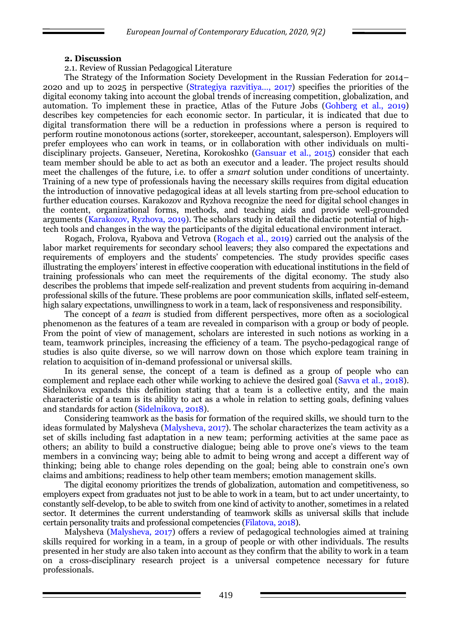#### **2. Discussion**

#### 2.1. Review of Russian Pedagogical Literature

The Strategy of the Information Society Development in the Russian Federation for 2014– 2020 and up to 2025 in perspective (Strategiya razvitiya…, 2017) specifies the priorities of the digital economy taking into account the global trends of increasing competition, globalization, and automation. To implement these in practice, Atlas of the Future Jobs (Gohberg et al., 2019) describes key competencies for each economic sector. In particular, it is indicated that due to digital transformation there will be a reduction in professions where a person is required to perform routine monotonous actions (sorter, storekeeper, accountant, salesperson). Employers will prefer employees who can work in teams, or in collaboration with other individuals on multidisciplinary projects. Ganseuer, Neretina, Korokoshko (Gansuar et al., 2015) consider that each team member should be able to act as both an executor and a leader. The project results should meet the challenges of the future, i.e. to offer a *smart* solution under conditions of uncertainty. Training of a new type of professionals having the necessary skills requires from digital education the introduction of innovative pedagogical ideas at all levels starting from pre-school education to further education courses. Karakozov and Ryzhova recognize the need for digital school changes in the content, organizational forms, methods, and teaching aids and provide well-grounded arguments (Karakozov, Ryzhova, 2019). The scholars study in detail the didactic potential of hightech tools and changes in the way the participants of the digital educational environment interact.

Rogach, Frolova, Ryabova and Vetrova (Rogach et al., 2019) carried out the analysis of the labor market requirements for secondary school leavers; they also compared the expectations and requirements of employers and the students' competencies. The study provides specific cases illustrating the employers' interest in effective cooperation with educational institutions in the field of training professionals who can meet the requirements of the digital economy. The study also describes the problems that impede self-realization and prevent students from acquiring in-demand professional skills of the future. These problems are poor communication skills, inflated self-esteem, high salary expectations, unwillingness to work in a team, lack of responsiveness and responsibility.

The concept of a *team* is studied from different perspectives, more often as a sociological phenomenon as the features of a team are revealed in comparison with a group or body of people. From the point of view of management, scholars are interested in such notions as working in a team, teamwork principles, increasing the efficiency of a team. The psycho-pedagogical range of studies is also quite diverse, so we will narrow down on those which explore team training in relation to acquisition of in-demand professional or universal skills.

In its general sense, the concept of a team is defined as a group of people who can complement and replace each other while working to achieve the desired goal (Savva et al., 2018). Sidelnikova expands this definition stating that a team is a collective entity, and the main characteristic of a team is its ability to act as a whole in relation to setting goals, defining values and standards for action (Sidelnikova, 2018).

Considering teamwork as the basis for formation of the required skills, we should turn to the ideas formulated by Malysheva (Malysheva, 2017). The scholar characterizes the team activity as a set of skills including fast adaptation in a new team; performing activities at the same pace as others; an ability to build a constructive dialogue; being able to prove one's views to the team members in a convincing way; being able to admit to being wrong and accept a different way of thinking; being able to change roles depending on the goal; being able to constrain one's own claims and ambitions; readiness to help other team members; emotion management skills.

The digital economy prioritizes the trends of globalization, automation and competitiveness, so employers expect from graduates not just to be able to work in a team, but to act under uncertainty, to constantly self-develop, to be able to switch from one kind of activity to another, sometimes in a related sector. It determines the current understanding of teamwork skills as universal skills that include certain personality traits and professional competencies (Filatova, 2018).

Malysheva (Malysheva, 2017) offers a review of pedagogical technologies aimed at training skills required for working in a team, in a group of people or with other individuals. The results presented in her study are also taken into account as they confirm that the ability to work in a team on a cross-disciplinary research project is a universal competence necessary for future professionals.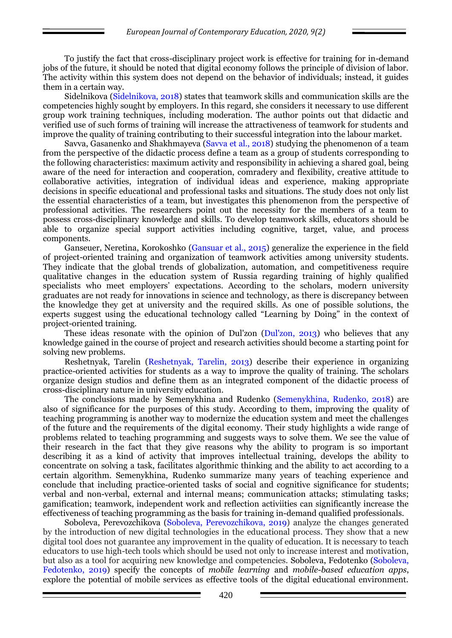To justify the fact that cross-disciplinary project work is effective for training for in-demand jobs of the future, it should be noted that digital economy follows the principle of division of labor. The activity within this system does not depend on the behavior of individuals; instead, it guides them in a certain way.

Sidelnikova (Sidelnikova, 2018) states that teamwork skills and communication skills are the competencies highly sought by employers. In this regard, she considers it necessary to use different group work training techniques, including moderation. The author points out that didactic and verified use of such forms of training will increase the attractiveness of teamwork for students and improve the quality of training contributing to their successful integration into the labour market.

Savva, Gasanenko and Shakhmayeva (Savva et al., 2018) studying the phenomenon of a team from the perspective of the didactic process define a team as a group of students corresponding to the following characteristics: maximum activity and responsibility in achieving a shared goal, being aware of the need for interaction and cooperation, comradery and flexibility, creative attitude to collaborative activities, integration of individual ideas and experience, making appropriate decisions in specific educational and professional tasks and situations. The study does not only list the essential characteristics of a team, but investigates this phenomenon from the perspective of professional activities. The researchers point out the necessity for the members of a team to possess cross-disciplinary knowledge and skills. To develop teamwork skills, educators should be able to organize special support activities including cognitive, target, value, and process components.

Ganseuer, Neretina, Korokoshko (Gansuar et al., 2015) generalize the experience in the field of project-oriented training and organization of teamwork activities among university students. They indicate that the global trends of globalization, automation, and competitiveness require qualitative changes in the education system of Russia regarding training of highly qualified specialists who meet employers' expectations. According to the scholars, modern university graduates are not ready for innovations in science and technology, as there is discrepancy between the knowledge they get at university and the required skills. As one of possible solutions, the experts suggest using the educational technology called "Learning by Doing" in the context of project-oriented training.

These ideas resonate with the opinion of Dul'zon (Dul'zon, 2013) who believes that any knowledge gained in the course of project and research activities should become a starting point for solving new problems.

Reshetnyak, Tarelin (Reshetnyak, Tarelin, 2013) describe their experience in organizing practice-oriented activities for students as a way to improve the quality of training. The scholars organize design studios and define them as an integrated component of the didactic process of cross-disciplinary nature in university education.

The conclusions made by Semenykhina and Rudenko (Semenykhina, Rudenko, 2018) are also of significance for the purposes of this study. According to them, improving the quality of teaching programming is another way to modernize the education system and meet the challenges of the future and the requirements of the digital economy. Their study highlights a wide range of problems related to teaching programming and suggests ways to solve them. We see the value of their research in the fact that they give reasons why the ability to program is so important describing it as a kind of activity that improves intellectual training, develops the ability to concentrate on solving a task, facilitates algorithmic thinking and the ability to act according to a certain algorithm. Semenykhina, Rudenko summarize many years of teaching experience and conclude that including practice-oriented tasks of social and cognitive significance for students; verbal and non-verbal, external and internal means; communication attacks; stimulating tasks; gamification; teamwork, independent work and reflection activiities can significantly increase the effectiveness of teaching programming as the basis for training in-demand qualified professionals.

Soboleva, Perevozchikova (Soboleva, Perevozchikova, 2019) analyze the changes generated by the introduction of new digital technologies in the educational process. They show that a new digital tool does not guarantee any improvement in the quality of education. It is necessary to teach educators to use high-tech tools which should be used not only to increase interest and motivation, but also as a tool for acquiring new knowledge and competencies. Soboleva, Fedotenko (Soboleva, Fedotenko, 2019) specify the concepts of *mobile learning* and *mobile-based education apps*, explore the potential of mobile services as effective tools of the digital educational environment.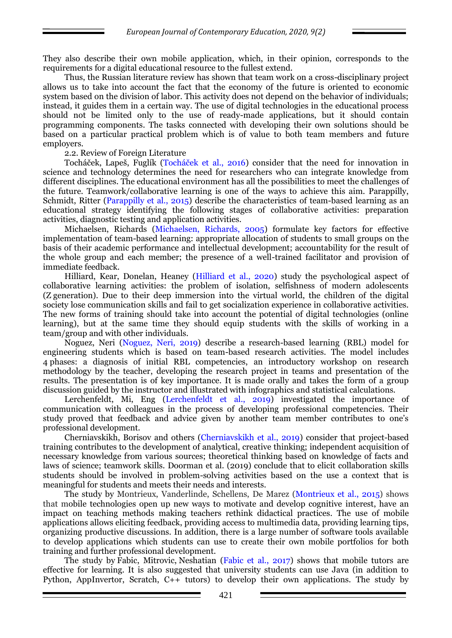They also describe their own mobile application, which, in their opinion, corresponds to the requirements for a digital educational resource to the fullest extend.

Thus, the Russian literature review has shown that team work on a cross-disciplinary project allows us to take into account the fact that the economy of the future is oriented to economic system based on the division of labor. This activity does not depend on the behavior of individuals; instead, it guides them in a certain way. The use of digital technologies in the educational process should not be limited only to the use of ready-made applications, but it should contain programming components. The tasks connected with developing their own solutions should be based on a particular practical problem which is of value to both team members and future employers.

2.2. Review of Foreign Literature

Tocháček, Lapeš, Fuglík (Tocháček et al., 2016) consider that the need for innovation in science and technology determines the need for researchers who can integrate knowledge from different disciplines. The educational environment has all the possibilities to meet the challenges of the future. Teamwork/collaborative learning is one of the ways to achieve this aim. Parappilly, Schmidt, Ritter (Parappilly et al., 2015) describe the characteristics of team-based learning as an educational strategy identifying the following stages of collaborative activities: preparation activities, diagnostic testing and application activities.

Michaelsen, Richards (Michaelsen, Richards, 2005) formulate key factors for effective implementation of team-based learning: appropriate allocation of students to small groups on the basis of their academic performance and intellectual development; accountability for the result of the whole group and each member; the presence of a well-trained facilitator and provision of immediate feedback.

Hilliard, Kear, Donelan, Heaney (Hilliard et al., 2020) study the psychological aspect of collaborative learning activities: the problem of isolation, selfishness of modern adolescents (Z generation). Due to their deep immersion into the virtual world, the children of the digital society lose communication skills and fail to get socialization experience in collaborative activities. The new forms of training should take into account the potential of digital technologies (online learning), but at the same time they should equip students with the skills of working in a team/group and with other individuals.

Noguez, Neri (Noguez, Neri, 2019) describe a research-based learning (RBL) model for engineering students which is based on team-based research activities. The model includes 4 phases: a diagnosis of initial RBL competencies, an introductory workshop on research methodology by the teacher, developing the research project in teams and presentation of the results. The presentation is of key importance. It is made orally and takes the form of a group discussion guided by the instructor and illustrated with infographics and statistical calculations.

Lerchenfeldt, Mi, Eng (Lerchenfeldt et al., 2019) investigated the importance of communication with colleagues in the process of developing professional competencies. Their study proved that feedback and advice given by another team member contributes to one's professional development.

Cherniavskikh, Borisov and others (Cherniavskikh et al., 2019) consider that project-based training contributes to the development of analytical, creative thinking; independent acquisition of necessary knowledge from various sources; theoretical thinking based on knowledge of facts and laws of science; teamwork skills. Doorman et al. (2019) conclude that to elicit collaboration skills students should be involved in problem-solving activities based on the use a context that is meaningful for students and meets their needs and interests.

The study by Montrieux, Vanderlinde, Schellens, De Marez (Montrieux et al., 2015) shows that mobile technologies open up new ways to motivate and develop cognitive interest, have an impact on teaching methods making teachers rethink didactical practices. The use of mobile applications allows eliciting feedback, providing access to multimedia data, providing learning tips, organizing productive discussions. In addition, there is a large number of software tools available to develop applications which students can use to create their own mobile portfolios for both training and further professional development.

The study by Fabic, Mitrovic, Neshatian (Fabic et al., 2017) shows that mobile tutors are effective for learning. It is also suggested that university students can use Java (in addition to Python, AppInvertor, Scratch, C++ tutors) to develop their own applications. The study by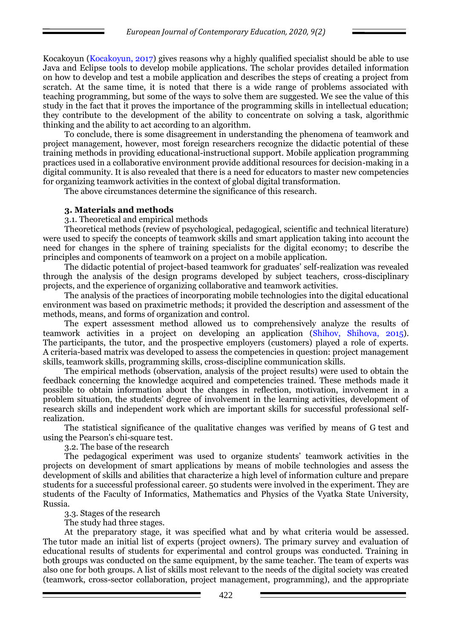Kocakoyun (Kocakoyun, 2017) gives reasons why a highly qualified specialist should be able to use Java and Eclipse tools to develop mobile applications. The scholar provides detailed information on how to develop and test a mobile application and describes the steps of creating a project from scratch. At the same time, it is noted that there is a wide range of problems associated with teaching programming, but some of the ways to solve them are suggested. We see the value of this study in the fact that it proves the importance of the programming skills in intellectual education; they contribute to the development of the ability to concentrate on solving a task, algorithmic thinking and the ability to act according to an algorithm.

To conclude, there is some disagreement in understanding the phenomena of teamwork and project management, however, most foreign researchers recognize the didactic potential of these training methods in providing educational-instructional support. Mobile application programming practices used in a collaborative environment provide additional resources for decision-making in a digital community. It is also revealed that there is a need for educators to master new competencies for organizing teamwork activities in the context of global digital transformation.

The above circumstances determine the significance of this research.

### **3. Materials and methods**

3.1. Theoretical and empirical methods

Theoretical methods (review of psychological, pedagogical, scientific and technical literature) were used to specify the concepts of teamwork skills and smart application taking into account the need for changes in the sphere of training specialists for the digital economy; to describe the principles and components of teamwork on a project on a mobile application.

The didactic potential of project-based teamwork for graduates' self-realization was revealed through the analysis of the design programs developed by subject teachers, cross-disciplinary projects, and the experience of organizing collaborative and teamwork activities.

The analysis of the practices of incorporating mobile technologies into the digital educational environment was based on praximetric methods; it provided the description and assessment of the methods, means, and forms of organization and control.

The expert assessment method allowed us to comprehensively analyze the results of teamwork activities in a project on developing an application (Shihov, Shihova, 2015). The participants, the tutor, and the prospective employers (customers) played a role of experts. A criteria-based matrix was developed to assess the competencies in question: project management skills, teamwork skills, programming skills, cross-discipline communication skills.

The empirical methods (observation, analysis of the project results) were used to obtain the feedback concerning the knowledge acquired and competencies trained. These methods made it possible to obtain information about the changes in reflection, motivation, involvement in a problem situation, the students' degree of involvement in the learning activities, development of research skills and independent work which are important skills for successful professional selfrealization.

The statistical significance of the qualitative changes was verified by means of G test and using the Pearson's chi-square test.

3.2. The base of the research

The pedagogical experiment was used to organize students' teamwork activities in the projects on development of smart applications by means of mobile technologies and assess the development of skills and abilities that characterize a high level of information culture and prepare students for a successful professional career. 50 students were involved in the experiment. They are students of the Faculty of Informatics, Mathematics and Physics of the Vyatka State University, Russia.

3.3. Stages of the research

The study had three stages.

At the preparatory stage, it was specified what and by what criteria would be assessed. The tutor made an initial list of experts (project owners). The primary survey and evaluation of educational results of students for experimental and control groups was conducted. Training in both groups was conducted on the same equipment, by the same teacher. The team of experts was also one for both groups. A list of skills most relevant to the needs of the digital society was created (teamwork, cross-sector collaboration, project management, programming), and the appropriate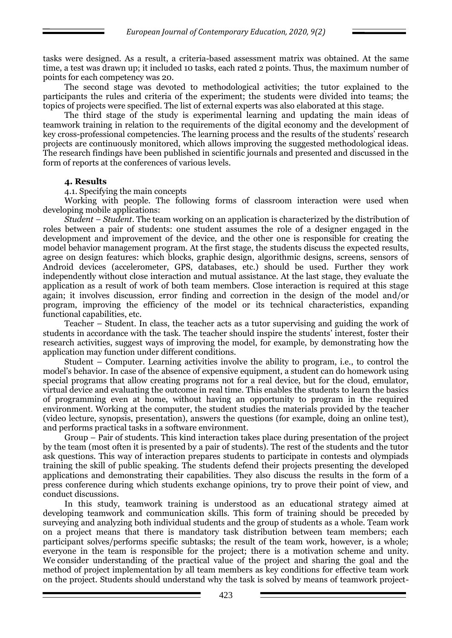tasks were designed. As a result, a criteria-based assessment matrix was obtained. At the same time, a test was drawn up; it included 10 tasks, each rated 2 points. Thus, the maximum number of points for each competency was 20.

The second stage was devoted to methodological activities; the tutor explained to the participants the rules and criteria of the experiment; the students were divided into teams; the topics of projects were specified. The list of external experts was also elaborated at this stage.

The third stage of the study is experimental learning and updating the main ideas of teamwork training in relation to the requirements of the digital economy and the development of key cross-professional competencies. The learning process and the results of the students' research projects are continuously monitored, which allows improving the suggested methodological ideas. The research findings have been published in scientific journals and presented and discussed in the form of reports at the conferences of various levels.

### **4. Results**

4.1. Specifying the main concepts

Working with people. The following forms of classroom interaction were used when developing mobile applications:

*Student – Student*. The team working on an application is characterized by the distribution of roles between a pair of students: one student assumes the role of a designer engaged in the development and improvement of the device, and the other one is responsible for creating the model behavior management program. At the first stage, the students discuss the expected results, agree on design features: which blocks, graphic design, algorithmic designs, screens, sensors of Android devices (accelerometer, GPS, databases, etc.) should be used. Further they work independently without close interaction and mutual assistance. At the last stage, they evaluate the application as a result of work of both team members. Close interaction is required at this stage again; it involves discussion, error finding and correction in the design of the model and/or program, improving the efficiency of the model or its technical characteristics, expanding functional capabilities, etc.

Teacher – Student. In class, the teacher acts as a tutor supervising and guiding the work of students in accordance with the task. The teacher should inspire the students' interest, foster their research activities, suggest ways of improving the model, for example, by demonstrating how the application may function under different conditions.

Student – Computer. Learning activities involve the ability to program, i.e., to control the model's behavior. In case of the absence of expensive equipment, a student can do homework using special programs that allow creating programs not for a real device, but for the cloud, emulator, virtual device and evaluating the outcome in real time. This enables the students to learn the basics of programming even at home, without having an opportunity to program in the required environment. Working at the computer, the student studies the materials provided by the teacher (video lecture, synopsis, presentation), answers the questions (for example, doing an online test), and performs practical tasks in a software environment.

Group – Pair of students. This kind interaction takes place during presentation of the project by the team (most often it is presented by a pair of students). The rest of the students and the tutor ask questions. This way of interaction prepares students to participate in contests and olympiads training the skill of public speaking. The students defend their projects presenting the developed applications and demonstrating their capabilities. They also discuss the results in the form of a press conference during which students exchange opinions, try to prove their point of view, and conduct discussions.

In this study, teamwork training is understood as an educational strategy aimed at developing teamwork and communication skills. This form of training should be preceded by surveying and analyzing both individual students and the group of students as a whole. Team work on a project means that there is mandatory task distribution between team members; each participant solves/performs specific subtasks; the result of the team work, however, is a whole; everyone in the team is responsible for the project; there is a motivation scheme and unity. We consider understanding of the practical value of the project and sharing the goal and the method of project implementation by all team members as key conditions for effective team work on the project. Students should understand why the task is solved by means of teamwork project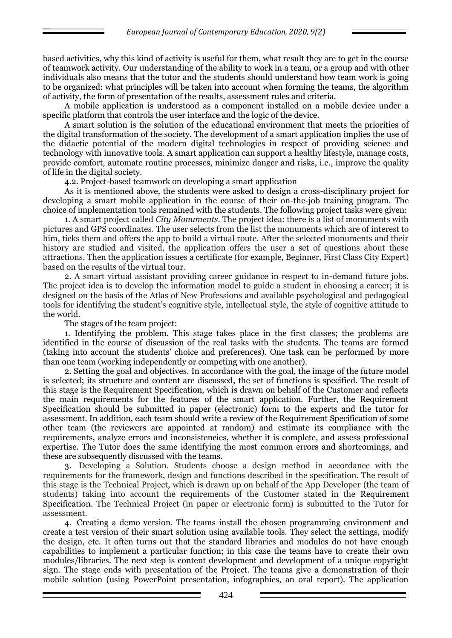based activities, why this kind of activity is useful for them, what result they are to get in the course of teamwork activity. Our understanding of the ability to work in a team, or a group and with other individuals also means that the tutor and the students should understand how team work is going to be organized: what principles will be taken into account when forming the teams, the algorithm of activity, the form of presentation of the results, assessment rules and criteria.

A mobile application is understood as a component installed on a mobile device under a specific platform that controls the user interface and the logic of the device.

A smart solution is the solution of the educational environment that meets the priorities of the digital transformation of the society. The development of a smart application implies the use of the didactic potential of the modern digital technologies in respect of providing science and technology with innovative tools. A smart application can support a healthy lifestyle, manage costs, provide comfort, automate routine processes, minimize danger and risks, i.e., improve the quality of life in the digital society.

4.2. Project-based teamwork on developing a smart application

As it is mentioned above, the students were asked to design a cross-disciplinary project for developing a smart mobile application in the course of their on-the-job training program. The choice of implementation tools remained with the students. The following project tasks were given:

1. A smart project called *City Monuments*. The project idea: there is a list of monuments with pictures and GPS coordinates. The user selects from the list the monuments which are of interest to him, ticks them and offers the app to build a virtual route. After the selected monuments and their history are studied and visited, the application offers the user a set of questions about these attractions. Then the application issues a certificate (for example, Beginner, First Class City Expert) based on the results of the virtual tour.

2. A smart virtual assistant providing career guidance in respect to in-demand future jobs. The project idea is to develop the information model to guide a student in choosing a career; it is designed on the basis of the Atlas of New Professions and available psychological and pedagogical tools for identifying the student's cognitive style, intellectual style, the style of cognitive attitude to the world.

The stages of the team project:

1. Identifying the problem. This stage takes place in the first classes; the problems are identified in the course of discussion of the real tasks with the students. The teams are formed (taking into account the students' choice and preferences). One task can be performed by more than one team (working independently or competing with one another).

2. Setting the goal and objectives. In accordance with the goal, the image of the future model is selected; its structure and content are discussed, the set of functions is specified. The result of this stage is the Requirement Specification, which is drawn on behalf of the Customer and reflects the main requirements for the features of the smart application. Further, the Requirement Specification should be submitted in paper (electronic) form to the experts and the tutor for assessment. In addition, each team should write a review of the Requirement Specification of some other team (the reviewers are appointed at random) and estimate its compliance with the requirements, analyze errors and inconsistencies, whether it is complete, and assess professional expertise. The Tutor does the same identifying the most common errors and shortcomings, and these are subsequently discussed with the teams.

3. Developing a Solution. Students choose a design method in accordance with the requirements for the framework, design and functions described in the specification. The result of this stage is the Technical Project, which is drawn up on behalf of the App Developer (the team of students) taking into account the requirements of the Customer stated in the Requirement Specification. The Technical Project (in paper or electronic form) is submitted to the Tutor for assessment.

4. Creating a demo version. The teams install the chosen programming environment and create a test version of their smart solution using available tools. They select the settings, modify the design, etc. It often turns out that the standard libraries and modules do not have enough capabilities to implement a particular function; in this case the teams have to create their own modules/libraries. The next step is content development and development of a unique copyright sign. The stage ends with presentation of the Project. The teams give a demonstration of their mobile solution (using PowerPoint presentation, infographics, an oral report). The application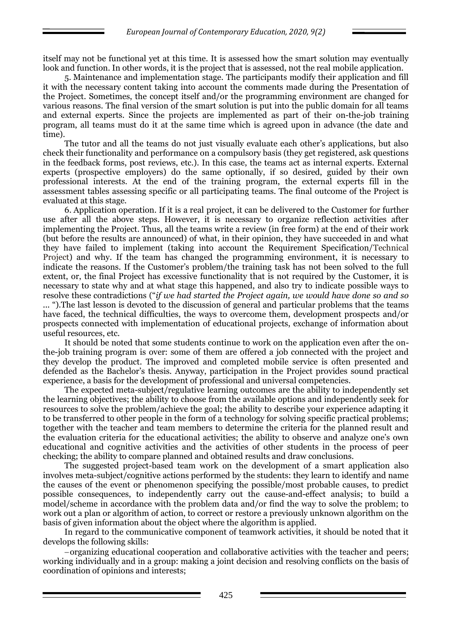itself may not be functional yet at this time. It is assessed how the smart solution may eventually look and function. In other words, it is the project that is assessed, not the real mobile application.

5. Maintenance and implementation stage. The participants modify their application and fill it with the necessary content taking into account the comments made during the Presentation of the Project. Sometimes, the concept itself and/or the programming environment are changed for various reasons. The final version of the smart solution is put into the public domain for all teams and external experts. Since the projects are implemented as part of their on-the-job training program, all teams must do it at the same time which is agreed upon in advance (the date and time).

The tutor and all the teams do not just visually evaluate each other's applications, but also check their functionality and performance on a compulsory basis (they get registered, ask questions in the feedback forms, post reviews, etc.). In this case, the teams act as internal experts. External experts (prospective employers) do the same optionally, if so desired, guided by their own professional interests. At the end of the training program, the external experts fill in the assessment tables assessing specific or all participating teams. The final outcome of the Project is evaluated at this stage.

6. Application operation. If it is a real project, it can be delivered to the Customer for further use after all the above steps. However, it is necessary to organize reflection activities after implementing the Project. Thus, all the teams write a review (in free form) at the end of their work (but before the results are announced) of what, in their opinion, they have succeeded in and what they have failed to implement (taking into account the Requirement Specification/Technical Project) and why. If the team has changed the programming environment, it is necessary to indicate the reasons. If the Customer's problem/the training task has not been solved to the full extent, or, the final Project has excessive functionality that is not required by the Customer, it is necessary to state why and at what stage this happened, and also try to indicate possible ways to resolve these contradictions ("*if we had started the Project again, we would have done so and so* 

*...* ").The last lesson is devoted to the discussion of general and particular problems that the teams have faced, the technical difficulties, the ways to overcome them, development prospects and/or prospects connected with implementation of educational projects, exchange of information about useful resources, etc.

It should be noted that some students continue to work on the application even after the onthe-job training program is over: some of them are offered a job connected with the project and they develop the product. The improved and completed mobile service is often presented and defended as the Bachelor's thesis. Anyway, participation in the Project provides sound practical experience, a basis for the development of professional and universal competencies.

The expected meta-subject/regulative learning outcomes are the ability to independently set the learning objectives; the ability to choose from the available options and independently seek for resources to solve the problem/achieve the goal; the ability to describe your experience adapting it to be transferred to other people in the form of a technology for solving specific practical problems; together with the teacher and team members to determine the criteria for the planned result and the evaluation criteria for the educational activities; the ability to observe and analyze one's own educational and cognitive activities and the activities of other students in the process of peer checking; the ability to compare planned and obtained results and draw conclusions.

The suggested project-based team work on the development of a smart application also involves meta-subject/cognitive actions performed by the students: they learn to identify and name the causes of the event or phenomenon specifying the possible/most probable causes, to predict possible consequences, to independently carry out the cause-and-effect analysis; to build a model/scheme in accordance with the problem data and/or find the way to solve the problem; to work out a plan or algorithm of action, to correct or restore a previously unknown algorithm on the basis of given information about the object where the algorithm is applied.

In regard to the communicative component of teamwork activities, it should be noted that it develops the following skills:

organizing educational cooperation and collaborative activities with the teacher and peers; working individually and in a group: making a joint decision and resolving conflicts on the basis of coordination of opinions and interests;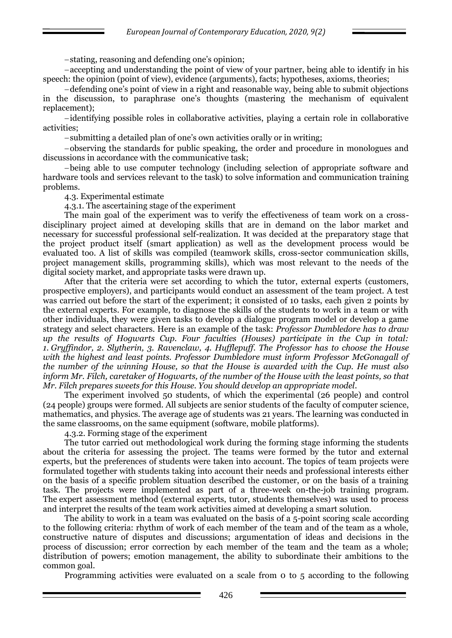stating, reasoning and defending one's opinion;

accepting and understanding the point of view of your partner, being able to identify in his speech: the opinion (point of view), evidence (arguments), facts; hypotheses, axioms, theories;

defending one's point of view in a right and reasonable way, being able to submit objections in the discussion, to paraphrase one's thoughts (mastering the mechanism of equivalent replacement);

identifying possible roles in collaborative activities, playing a certain role in collaborative activities;

submitting a detailed plan of one's own activities orally or in writing;

observing the standards for public speaking, the order and procedure in monologues and discussions in accordance with the communicative task;

being able to use computer technology (including selection of appropriate software and hardware tools and services relevant to the task) to solve information and communication training problems.

4.3. Experimental estimate

4.3.1. The ascertaining stage of the experiment

The main goal of the experiment was to verify the effectiveness of team work on a crossdisciplinary project aimed at developing skills that are in demand on the labor market and necessary for successful professional self-realization. It was decided at the preparatory stage that the project product itself (smart application) as well as the development process would be evaluated too. A list of skills was compiled (teamwork skills, cross-sector communication skills, project management skills, programming skills), which was most relevant to the needs of the digital society market, and appropriate tasks were drawn up.

After that the criteria were set according to which the tutor, external experts (customers, prospective employers), and participants would conduct an assessment of the team project. A test was carried out before the start of the experiment; it consisted of 10 tasks, each given 2 points by the external experts. For example, to diagnose the skills of the students to work in a team or with other individuals, they were given tasks to develop a dialogue program model or develop a game strategy and select characters. Here is an example of the task: *Professor Dumbledore has to draw up the results of Hogwarts Cup. Four faculties (Houses) participate in the Cup in total: 1. Gryffindor, 2. Slytherin, 3. Ravenclaw, 4. Hufflepuff. The Professor has to choose the House with the highest and least points. Professor Dumbledore must inform Professor McGonagall of the number of the winning House, so that the House is awarded with the Cup. He must also inform Mr. Filch, caretaker of Hogwarts, of the number of the House with the least points, so that Mr. Filch prepares sweets for this House. You should develop an appropriate model*.

The experiment involved 50 students, of which the experimental (26 people) and control (24 people) groups were formed. All subjects are senior students of the faculty of computer science, mathematics, and physics. The average age of students was 21 years. The learning was conducted in the same classrooms, on the same equipment (software, mobile platforms).

4.3.2. Forming stage of the experiment

The tutor carried out methodological work during the forming stage informing the students about the criteria for assessing the project. The teams were formed by the tutor and external experts, but the preferences of students were taken into account. The topics of team projects were formulated together with students taking into account their needs and professional interests either on the basis of a specific problem situation described the customer, or on the basis of a training task. The projects were implemented as part of a three-week on-the-job training program. The expert assessment method (external experts, tutor, students themselves) was used to process and interpret the results of the team work activities aimed at developing a smart solution.

The ability to work in a team was evaluated on the basis of a 5-point scoring scale according to the following criteria: rhythm of work of each member of the team and of the team as a whole, constructive nature of disputes and discussions; argumentation of ideas and decisions in the process of discussion; error correction by each member of the team and the team as a whole; distribution of powers; emotion management, the ability to subordinate their ambitions to the common goal.

Programming activities were evaluated on a scale from 0 to 5 according to the following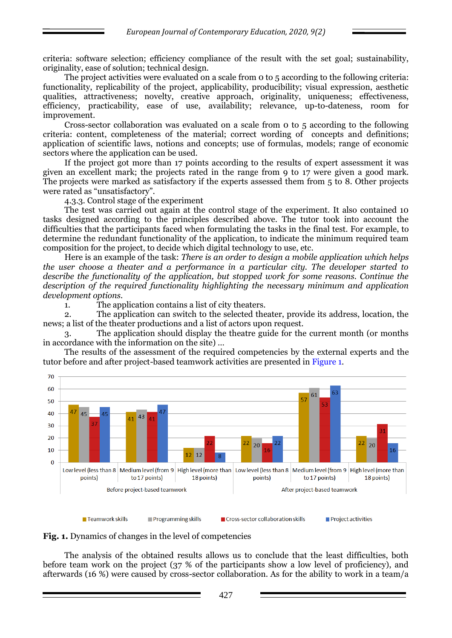criteria: software selection; efficiency compliance of the result with the set goal; sustainability, originality, ease of solution; technical design.

The project activities were evaluated on a scale from 0 to 5 according to the following criteria: functionality, replicability of the project, applicability, producibility; visual expression, aesthetic qualities, attractiveness; novelty, creative approach, originality, uniqueness; effectiveness, efficiency, practicability, ease of use, availability; relevance, up-to-dateness, room for improvement.

Cross-sector collaboration was evaluated on a scale from 0 to 5 according to the following criteria: content, completeness of the material; correct wording of concepts and definitions; application of scientific laws, notions and concepts; use of formulas, models; range of economic sectors where the application can be used.

If the project got more than 17 points according to the results of expert assessment it was given an excellent mark; the projects rated in the range from 9 to 17 were given a good mark. The projects were marked as satisfactory if the experts assessed them from 5 to 8. Other projects were rated as "unsatisfactory".

4.3.3. Control stage of the experiment

The test was carried out again at the control stage of the experiment. It also contained 10 tasks designed according to the principles described above. The tutor took into account the difficulties that the participants faced when formulating the tasks in the final test. For example, to determine the redundant functionality of the application, to indicate the minimum required team composition for the project, to decide which digital technology to use, etc.

Here is an example of the task: *There is an order to design a mobile application which helps the user choose a theater and a performance in a particular city. The developer started to describe the functionality of the application, but stopped work for some reasons. Continue the description of the required functionality highlighting the necessary minimum and application development options.*

1. The application contains a list of city theaters.

2. The application can switch to the selected theater, provide its address, location, the news; a list of the theater productions and a list of actors upon request.

3. The application should display the theatre guide for the current month (or months in accordance with the information on the site) …

The results of the assessment of the required competencies by the external experts and the tutor before and after project-based teamwork activities are presented in Figure 1.



**Fig. 1.** Dynamics of changes in the level of competencies

The analysis of the obtained results allows us to conclude that the least difficulties, both before team work on the project (37 % of the participants show a low level of proficiency), and afterwards (16 %) were caused by cross-sector collaboration. As for the ability to work in a team/a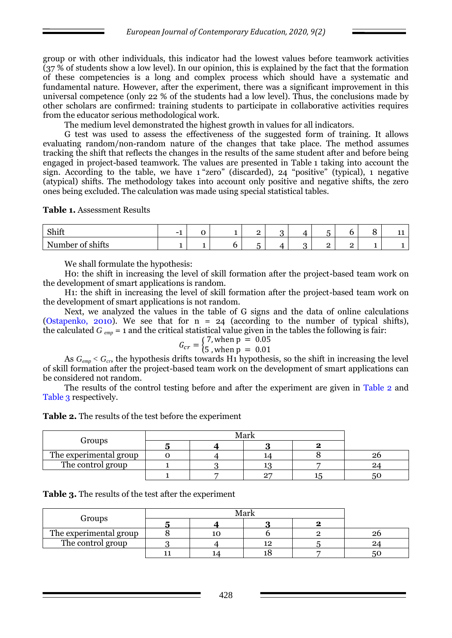group or with other individuals, this indicator had the lowest values before teamwork activities (37 % of students show a low level). In our opinion, this is explained by the fact that the formation of these competencies is a long and complex process which should have a systematic and fundamental nature. However, after the experiment, there was a significant improvement in this universal competence (only 22 % of the students had a low level). Thus, the conclusions made by other scholars are confirmed: training students to participate in collaborative activities requires from the educator serious methodological work.

The medium level demonstrated the highest growth in values for all indicators.

G test was used to assess the effectiveness of the suggested form of training. It allows evaluating random/non-random nature of the changes that take place. The method assumes tracking the shift that reflects the changes in the results of the same student after and before being engaged in project-based teamwork. The values are presented in Table 1 taking into account the sign. According to the table, we have 1 "zero" (discarded), 24 "positive" (typical), 1 negative (atypical) shifts. The methodology takes into account only positive and negative shifts, the zero ones being excluded. The calculation was made using special statistical tables.

**Table 1.** Assessment Results

| Shift                                                                                  | - |  | -             | . . | - | - |  |
|----------------------------------------------------------------------------------------|---|--|---------------|-----|---|---|--|
| $\cdot$ $\sim$<br>$\mathbf{r}$<br>Number<br><b>chitte</b><br>งแแผ<br><b>OF DITTLET</b> |   |  | -<br>. .<br>ິ |     | - | - |  |

We shall formulate the hypothesis:

H0: the shift in increasing the level of skill formation after the project-based team work on the development of smart applications is random.

H1: the shift in increasing the level of skill formation after the project-based team work on the development of smart applications is not random.

Next, we analyzed the values in the table of G signs and the data of online calculations (Ostapenko, 2010). We see that for  $n = 24$  (according to the number of typical shifts), the calculated  $G_{\text{emp}} = 1$  and the critical statistical value given in the tables the following is fair:

$$
G_{cr} = \begin{cases} 7, \text{when p} = 0.05\\ 5, \text{when p} = 0.01 \end{cases}
$$

As  $G_{\text{emp}} < G_{\text{cr}}$ , the hypothesis drifts towards H<sub>1</sub> hypothesis, so the shift in increasing the level of skill formation after the project-based team work on the development of smart applications can be considered not random.

The results of the control testing before and after the experiment are given in Table 2 and Table 3 respectively.

**Table 2.** The results of the test before the experiment

| Groups                 |  |    |    |    |
|------------------------|--|----|----|----|
| The experimental group |  | 14 |    | 26 |
| The control group      |  |    |    |    |
|                        |  | חה | 15 |    |

| <b>Table 3.</b> The results of the test after the experiment |  |  |  |  |  |  |
|--------------------------------------------------------------|--|--|--|--|--|--|
|--------------------------------------------------------------|--|--|--|--|--|--|

| Groups                 |  |    |  |    |
|------------------------|--|----|--|----|
|                        |  |    |  |    |
| The experimental group |  |    |  |    |
| The control group      |  | 12 |  |    |
|                        |  |    |  | ას |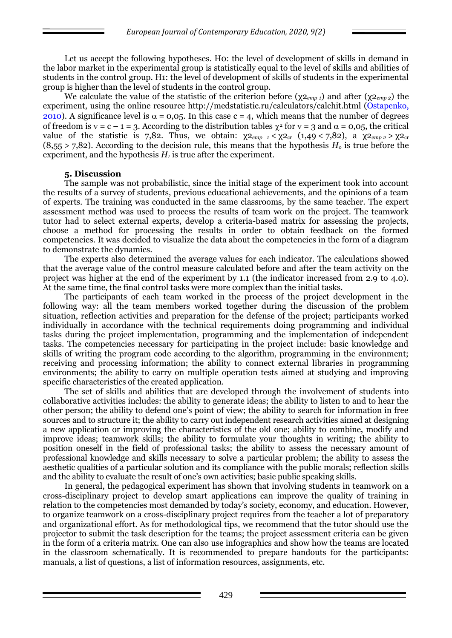Let us accept the following hypotheses. Ho: the level of development of skills in demand in the labor market in the experimental group is statistically equal to the level of skills and abilities of students in the control group. H1: the level of development of skills of students in the experimental group is higher than the level of students in the control group.

We calculate the value of the statistic of the criterion before ( $\chi_{2_{\text{emm}}}$ ) and after ( $\chi_{2_{\text{emm}}}$ ) the experiment, using the online resource<http://medstatistic.ru/calculators/calchit.html> (Ostapenko, 2010). A significance level is  $\alpha = 0.05$ . In this case  $c = 4$ , which means that the number of degrees of freedom is  $v = c - 1 = 3$ . According to the distribution tables  $\chi^2$  for  $v = 3$  and  $\alpha = 0.05$ , the critical value of the statistic is 7,82. Thus, we obtain:  $\chi_{2emp1} < \chi_{2cr}$  (1,49 < 7,82), a  $\chi_{2emp2} > \chi_{2cr}$ (8,55 > 7,82). According to the decision rule, this means that the hypothesis *Н<sup>о</sup>* is true before the experiment, and the hypothesis  $H<sub>1</sub>$  is true after the experiment.

## **5. Discussion**

The sample was not probabilistic, since the initial stage of the experiment took into account the results of a survey of students, previous educational achievements, and the opinions of a team of experts. The training was conducted in the same classrooms, by the same teacher. The expert assessment method was used to process the results of team work on the project. The teamwork tutor had to select external experts, develop a criteria-based matrix for assessing the projects, choose a method for processing the results in order to obtain feedback on the formed competencies. It was decided to visualize the data about the competencies in the form of a diagram to demonstrate the dynamics.

The experts also determined the average values for each indicator. The calculations showed that the average value of the control measure calculated before and after the team activity on the project was higher at the end of the experiment by 1.1 (the indicator increased from 2.9 to 4.0). At the same time, the final control tasks were more complex than the initial tasks.

The participants of each team worked in the process of the project development in the following way: all the team members worked together during the discussion of the problem situation, reflection activities and preparation for the defense of the project; participants worked individually in accordance with the technical requirements doing programming and individual tasks during the project implementation, programming and the implementation of independent tasks. The competencies necessary for participating in the project include: basic knowledge and skills of writing the program code according to the algorithm, programming in the environment; receiving and processing information; the ability to connect external libraries in programming environments; the ability to carry on multiple operation tests aimed at studying and improving specific characteristics of the created application.

The set of skills and abilities that are developed through the involvement of students into collaborative activities includes: the ability to generate ideas; the ability to listen to and to hear the other person; the ability to defend one's point of view; the ability to search for information in free sources and to structure it; the ability to carry out independent research activities aimed at designing a new application or improving the characteristics of the old one; ability to combine, modify and improve ideas; teamwork skills; the ability to formulate your thoughts in writing; the ability to position oneself in the field of professional tasks; the ability to assess the necessary amount of professional knowledge and skills necessary to solve a particular problem; the ability to assess the aesthetic qualities of a particular solution and its compliance with the public morals; reflection skills and the ability to evaluate the result of one's own activities; basic public speaking skills.

In general, the pedagogical experiment has shown that involving students in teamwork on a cross-disciplinary project to develop smart applications can improve the quality of training in relation to the competencies most demanded by today's society, economy, and education. However, to organize teamwork on a cross-disciplinary project requires from the teacher a lot of preparatory and organizational effort. As for methodological tips, we recommend that the tutor should use the projector to submit the task description for the teams; the project assessment criteria can be given in the form of a criteria matrix. One can also use infographics and show how the teams are located in the classroom schematically. It is recommended to prepare handouts for the participants: manuals, a list of questions, a list of information resources, assignments, etc.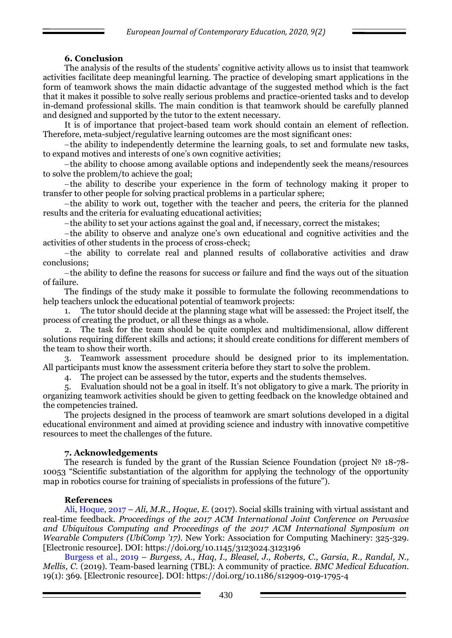# **6. Conclusion**

The analysis of the results of the students' cognitive activity allows us to insist that teamwork activities facilitate deep meaningful learning. The practice of developing smart applications in the form of teamwork shows the main didactic advantage of the suggested method which is the fact that it makes it possible to solve really serious problems and practice-oriented tasks and to develop in-demand professional skills. The main condition is that teamwork should be carefully planned and designed and supported by the tutor to the extent necessary.

It is of importance that project-based team work should contain an element of reflection. Therefore, meta-subject/regulative learning outcomes are the most significant ones:

the ability to independently determine the learning goals, to set and formulate new tasks, to expand motives and interests of one's own cognitive activities;

the ability to choose among available options and independently seek the means/resources to solve the problem/to achieve the goal;

the ability to describe your experience in the form of technology making it proper to transfer to other people for solving practical problems in a particular sphere;

the ability to work out, together with the teacher and peers, the criteria for the planned results and the criteria for evaluating educational activities;

the ability to set your actions against the goal and, if necessary, correct the mistakes;

the ability to observe and analyze one's own educational and cognitive activities and the activities of other students in the process of cross-check;

the ability to correlate real and planned results of collaborative activities and draw conclusions;

the ability to define the reasons for success or failure and find the ways out of the situation of failure.

The findings of the study make it possible to formulate the following recommendations to help teachers unlock the educational potential of teamwork projects:

1. The tutor should decide at the planning stage what will be assessed: the Project itself, the process of creating the product, or all these things as a whole.

2. The task for the team should be quite complex and multidimensional, allow different solutions requiring different skills and actions; it should create conditions for different members of the team to show their worth.

3. Teamwork assessment procedure should be designed prior to its implementation. All participants must know the assessment criteria before they start to solve the problem.

4. The project can be assessed by the tutor, experts and the students themselves.

5. Evaluation should not be a goal in itself. It's not obligatory to give a mark. The priority in organizing teamwork activities should be given to getting feedback on the knowledge obtained and the competencies trained.

The projects designed in the process of teamwork are smart solutions developed in a digital educational environment and aimed at providing science and industry with innovative competitive resources to meet the challenges of the future.

# **7. Acknowledgements**

The research is funded by the grant of the Russian Science Foundation (project № 18-78- 10053 "Scientific substantiation of the algorithm for applying the technology of the opportunity map in robotics course for training of specialists in professions of the future").

### **References**

Ali, Hoque, 2017 – *Ali, M.R., Hoque, E.* (2017). Social skills training with virtual assistant and real-time feedback. *Proceedings of the 2017 ACM International Joint Conference on Pervasive and Ubiquitous Computing and Proceedings of the 2017 ACM International Symposium on Wearable Computers (UbiComp '17).* New York: Association for Computing Machinery: 325-329. [Electronic resource]. DOI: https://doi.org/10.1145/3123024.3123196

Burgess et al., 2019 – *Burgess, A., Haq, I., Bleasel, J., Roberts, C., Garsia, R., Randal, N., Mellis, C.* (2019). Team-based learning (TBL): A community of practice. *BMC Medical Education*. 19(1): 369. [Electronic resource]. DOI: https://doi.org/10.1186/s12909-019-1795-4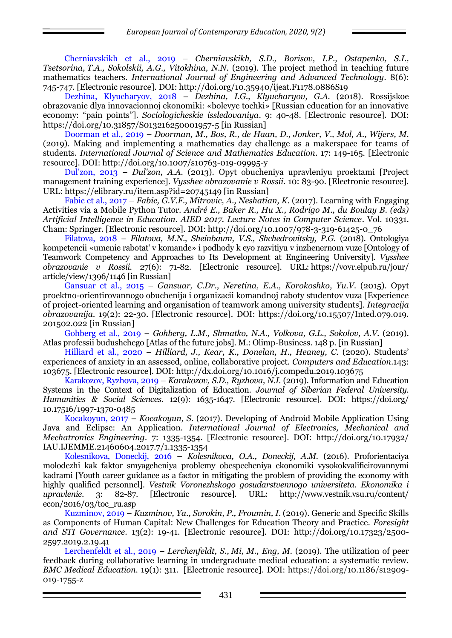Cherniavskikh et al., 2019 – *Cherniavskikh, S.D., Borisov, I.P., Ostapenko, S.I., Tsetsorina, T.A., Sokolskii, A.G., Vitokhina, N.N.* (2019). The project method in teaching future mathematics teachers. *International Journal of Engineering and Advanced Technology.* 8(6): 745-747. [Electronic resource]. DOI: <http://doi.org/10.35940/ijeat.F1178.0886S19>

Dezhina, Klyucharyov, 2018 – *Dezhina, I.G., Klyucharyov, G.A.* (2018). Rossijskoe obrazovanie dlya innovacionnoj ekonomiki: «bolevye tochki» [Russian education for an innovative economy: "pain points"]. *Sociologicheskie issledovaniya*. 9: 40-48. [Electronic resource]. DOI: https://doi.org/10.31857/S013216250001957-5 [in Russian]

Doorman et al., 2019 – *Doorman, M., Bos, R., de Haan, D., Jonker, V., Mol, A., Wijers, M.* (2019). Making and implementing a mathematics day challenge as a makerspace for teams of students. *International Journal of Science and Mathematics Education*. 17: 149-165. [Electronic resource]. DOI: http://doi.org/10.1007/s10763-019-09995-y

Dul'zon, 2013 – *Dul'zon, A.A.* (2013). Opyt obucheniya upravleniyu proektami [Project management training experience]. *Vysshee obrazovanie v Rossii*. 10: 83-90. [Electronic resource]. URL: https://elibrary.ru/item.asp?id=20745149 [in Russian]

Fabic et al., 2017 – *Fabic, G.V.F., Mitrovic, A., Neshatian, K.* (2017). Learning with Engaging Activities via a Mobile Python Tutor. *André E., Baker R., Hu X., Rodrigo M., du Boulay B. (eds) Artificial Intelligence in Education. AIED 2017. Lecture Notes in Computer Science*. Vol. 10331. Cham: Springer. [Electronic resource]. DOI: http://doi.org/10.1007/978-3-319-61425-0\_76

Filatova, 2018 – *Filatova, M.N., Sheinbaum, V.S., Shchedrovitsky, P.G.* (2018). Ontologiya kompetencii «umenie rabotat' v komande» i podhody k eyo razvitiyu v inzhenernom vuze [Ontology of Teamwork Competency and Approaches to Its Development at Engineering University]. *Vysshee obrazovanie v Rossii*. 27(6): 71-82. [Electronic resource]. URL: https://vovr.elpub.ru/jour/ article/view/1396/1146 [in Russian]

Gansuar et al., 2015 – *Gansuar, C.Dr., Neretina, E.A., Korokoshko, Yu.V.* (2015). Opyt proektno-orientirovannogo obuchenija i organizacii komandnoj raboty studentov vuza [Experience of project-oriented learning and organisation of teamwork among university students]. *Integracija obrazovanija.* 19(2): 22-30. [Electronic resource]. DOI: https://doi.org/10.15507/Inted.079.019. 201502.022 [in Russian]

Gohberg et al., 2019 – *Gohberg, L.M., Shmatko, N.A., Volkova, G.L., Sokolov, A.V.* (2019). Atlas professii budushchego [Atlas of the future jobs]. M.: Olimp-Business. 148 p. [in Russian]

Hilliard et al., 2020 – *Hilliard, J., Kear, K., Donelan, H., Heaney, C.* (2020). Students' experiences of anxiety in an assessed, online, collaborative project. *Computers and Education*.143: 103675. [Electronic resource]. DOI: http://dx.doi.org/10.1016/j.compedu.2019.103675

Karakozov, Ryzhova, 2019 – *Karakozov, S.D., Ryzhova, N.I.* (2019). Information and Education Systems in the Context of Digitalization of Education. *Journal of Siberian Federal University. Humanities & Social Sciences.* 12(9): 1635-1647. [Electronic resource]. DOI: [https://doi.org/](https://doi.org/10.17516/1997-1370-0485) [10.17516/1997-1370-0485](https://doi.org/10.17516/1997-1370-0485)

Kocakoyun, 2017 – *Kocakoyun, S.* (2017). Developing of Android Mobile Application Using Java and Eclipse: An Application. *International Journal of Electronics, Mechanical and Mechatronics Engineering.* 7: 1335-1354. [Electronic resource]. DOI: [http://doi.org/10.17932/](http://doi.org/10.17932/IAU.IJEMME.21460604.2017.7/1.1335-1354)  [IAU.IJEMME.21460604.2017.7/1.1335-1354](http://doi.org/10.17932/IAU.IJEMME.21460604.2017.7/1.1335-1354)

Kolesnikova, Doneckij, 2016 – *Kolesnikova, O.A., Doneckij, A.M.* (2016). Proforientaciya molodezhi kak faktor smyagcheniya problemy obespecheniya ekonomiki vysokokvalificirovannymi kadrami [Youth career guidance as a factor in mitigating the problem of providing the economy with highly qualified personnel]. *Vestnik Voronezhskogo gosudarstvennogo universiteta. Ekonomika i upravlenie*. 3: 82-87. [Electronic resource]. URL: http://www.vestnik.vsu.ru/content/  $econ/2016/03/toc$  ru.asp

Kuzminov, 2019 – *Kuzminov, Ya., Sorokin, P., Froumin, I*. (2019). Generic and Specific Skills as Components of Human Capital: New Challenges for Education Theory and Practice. *Foresight and STI Governance*. 13(2): 19-41. [Electronic resource]. DOI: http://doi.org/10.17323/2500- 2597.2019.2.19.41

Lerchenfeldt et al., 2019 – *Lerchenfeldt, S., Mi, M., Eng, M.* (2019). The utilization of peer feedback during collaborative learning in undergraduate medical education: a systematic review. *BMC Medical Education*. 19(1): 311. [Electronic resource]. DOI: https://doi.org/10.1186/s12909- 019-1755-z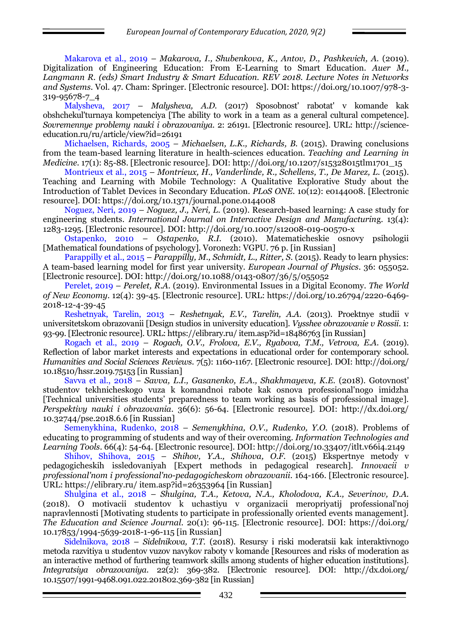Makarova et al., 2019 – *Makarova, I., Shubenkova, K., Antov, D., Pashkevich, A.* (2019). Digitalization of Engineering Education: From E-Learning to Smart Education. *Auer M., Langmann R. (eds) Smart Industry & Smart Education. REV 2018. Lecture Notes in Networks and Systems*. Vol. 47. Cham: Springer. [Electronic resource]. DOI: https://doi.org/10.1007/978-3- 319-95678-7\_4

Malysheva, 2017 – *Malysheva, A.D.* (2017) Sposobnost' rabotat' v komande kak obshchekul'turnaya kompetenciya [The ability to work in a team as a general cultural competence]. *Sovremennye problemy nauki i obrazovaniya*. 2: 26191. [Electronic resource]. URL: [http://science](http://science-education.ru/ru/article/view?id=26191)[education.ru/ru/article/view?id=26191](http://science-education.ru/ru/article/view?id=26191)

Michaelsen, Richards, 2005 – *Michaelsen, L.K., Richards, B.* (2015). Drawing conclusions from the team-based learning literature in health-sciences education. *Teaching and Learning in Medicine.* 17(1): 85-88. [Electronic resource]. DOI: [http://doi.org/10.1207/s15328015tlm1701\\_15](http://doi.org/10.1207/s15328015tlm1701_15)

Montrieux et al., 2015 – *Montrieux, H., Vanderlinde, R., Schellens, T., De Marez, L.* (2015). Teaching and Learning with Mobile Technology: A Qualitative Explorative Study about the Introduction of Tablet Devices in Secondary Education. *PLoS ONE.* 10(12): e0144008. [Electronic resource]. DOI: https://doi.org/10.1371/journal.pone.0144008

Noguez, Neri, 2019 – *Noguez, J., Neri, L.* (2019). Research-based learning: A case study for engineering students. *International Journal on Interactive Design and Manufacturin*g. 13(4): 1283-1295. [Electronic resource]. DOI: http://doi.org/10.1007/s12008-019-00570-x

Ostapenko, 2010 – *Ostapenko, R.I.* (2010). Matematicheskie osnovy psihologii [Mathematical foundations of psychology]. Voronezh: VGPU. 76 p. [in Russian]

Parappilly et al., 2015 – *Parappilly, M., Schmidt, L., Ritter, S.* (2015). Ready to learn physics: A team-based learning model for first year university. *European Journal of Physics*. 36: 055052. [Electronic resource]. DOI: http://doi.org/10.1088/0143-0807/36/5/055052

Perelet, 2019 – *Perelet, R.A*. (2019). Environmental Issues in a Digital Economy. *The World of New Economy*. 12(4): 39-45. [Electronic resource]. URL: https://doi.org/10.26794/2220-6469- 2018-12-4-39-45

Reshetnyak, Tarelin, 2013 – *Reshetnyak, E.V., Tarelin, A.A.* (2013). Proektnye studii v universitetskom obrazovanii [Design studios in university education]. *Vysshee obrazovanie v Rossii*. 1: 93-99. [Electronic resource]. URL: https://elibrary.ru/ item.asp?id=18486763 [in Russian]

Rogach et al., 2019 – *Rogach, O.V., Frolova, E.V., Ryabova, T.M., Vetrova, E.A*. (2019). Reflection of labor market interests and expectations in educational order for contemporary school. *Humanities and Social Sciences Reviews*. 7(5): 1160-1167. [Electronic resource]. DOI: [http://doi.org/](http://doi.org/10.18510/hssr.2019.75153)  [10.18510/hssr.2019.75153](http://doi.org/10.18510/hssr.2019.75153) [in Russian]

Savva et al., 2018 – *Savva, L.I., Gasanenko, E.A., Shakhmayeva, K.E.* (2018). Gotovnost' studentov tekhnicheskogo vuza k komandnoi rabote kak osnova professional'nogo imidzha [Technical universities students' preparedness to team working as basis of professional image]. *Perspektivy nauki i obrazovania*. 36(6): 56-64. [Electronic resource]. DOI: http://dx.doi.org/ 10.32744/pse.2018.6.6 [in Russian]

Semenykhina, Rudenko, 2018 – *Semenykhina, O.V., Rudenko, Y.О.* (2018). Problems of educating to programming of students and way of their overcoming. *Information Technologies and Learning Tools*. 66(4): 54-64. [Electronic resource]. DOI: http://doi.org/10.33407/itlt.v66i4.2149

Shihov, Shihova, 2015 – *Shihov, Y.A., Shihova, O.F.* (2015) Ekspertnye metody v pedagogicheskih issledovaniyah [Expert methods in pedagogical research]. *Innovacii v professional'nom i professional'no-pedagogicheskom obrazovanii*. 164-166. [Electronic resource]. URL: https://elibrary.ru/ item.asp?id=26353964 [in Russian]

Shulgina et al., 2018 – *Shulgina, T.A., Ketova, N.A., Kholodova, K.A., Severinov, D.A.* (2018). O motivacii studentov k uchastiyu v organizacii meropriyatij professional'noj napravlennosti [Motivating students to participate in professionally oriented events management]. *The Education and Science Journal*. 20(1): 96-115. [Electronic resource]. DOI: https://doi.org/ 10.17853/1994-5639-2018-1-96-115 [in Russian]

Sidelnikova, 2018 – *Sidelnikova, T.T.* (2018). Resursy i riski moderatsii kak interaktivnogo metoda razvitiya u studentov vuzov navykov raboty v komande [Resources and risks of moderation as an interactive method of furthering teamwork skills among students of higher education institutions]. *Integratsiya obrazovaniya*. 22(2): 369-382. [Electronic resource]. DOI: [http://dx.doi.org/](http://dx.doi.org/10.15507/1991-9468.091.022.201802.369-382)  [10.15507/1991-9468.091.022.201802.369-382](http://dx.doi.org/10.15507/1991-9468.091.022.201802.369-382) [in Russian]